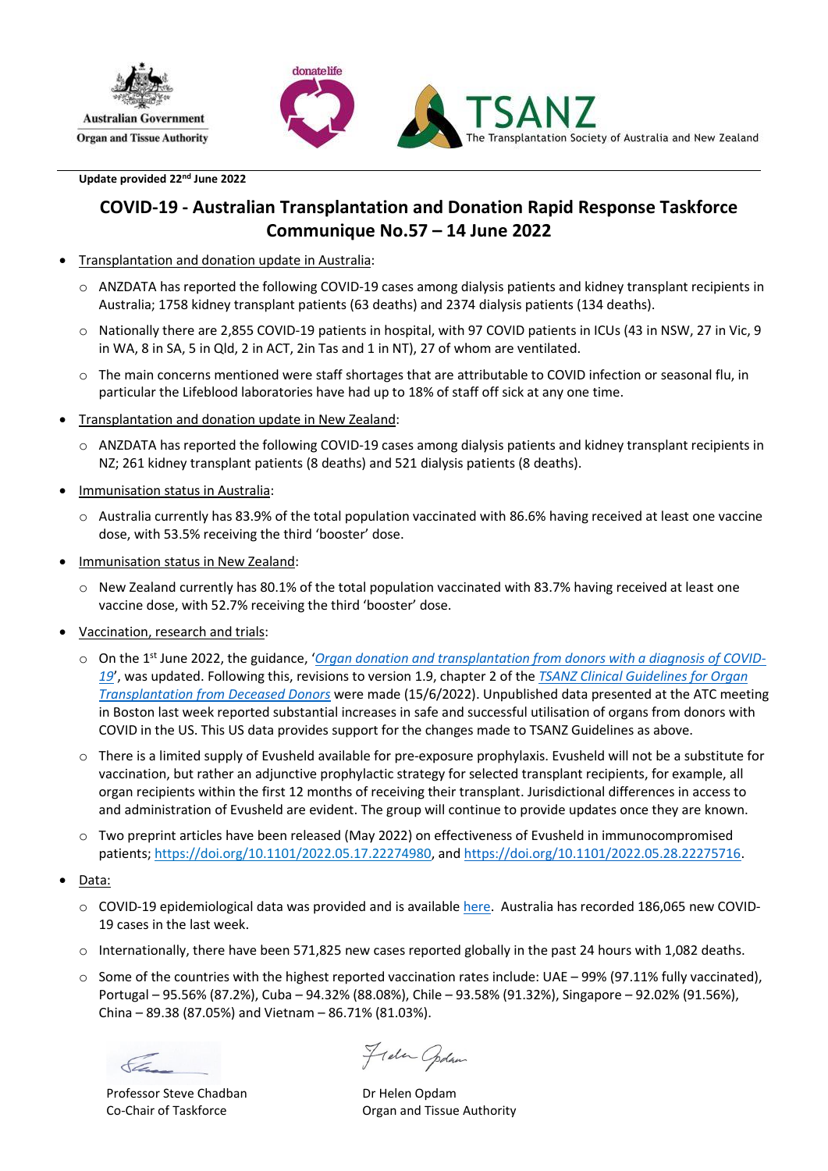



**Update provided 22nd June 2022**

### **COVID-19 - Australian Transplantation and Donation Rapid Response Taskforce Communique No.57 – 14 June 2022**

- Transplantation and donation update in Australia:
	- o ANZDATA has reported the following COVID-19 cases among dialysis patients and kidney transplant recipients in Australia; 1758 kidney transplant patients (63 deaths) and 2374 dialysis patients (134 deaths).
	- o Nationally there are 2,855 COVID-19 patients in hospital, with 97 COVID patients in ICUs (43 in NSW, 27 in Vic, 9 in WA, 8 in SA, 5 in Qld, 2 in ACT, 2in Tas and 1 in NT), 27 of whom are ventilated.
	- o The main concerns mentioned were staff shortages that are attributable to COVID infection or seasonal flu, in particular the Lifeblood laboratories have had up to 18% of staff off sick at any one time.
- Transplantation and donation update in New Zealand:
	- o ANZDATA has reported the following COVID-19 cases among dialysis patients and kidney transplant recipients in NZ; 261 kidney transplant patients (8 deaths) and 521 dialysis patients (8 deaths).
- Immunisation status in Australia:
	- o Australia currently has 83.9% of the total population vaccinated with 86.6% having received at least one vaccine dose, with 53.5% receiving the third 'booster' dose.
- Immunisation status in New Zealand:
	- $\circ$  New Zealand currently has 80.1% of the total population vaccinated with 83.7% having received at least one vaccine dose, with 52.7% receiving the third 'booster' dose.
- Vaccination, research and trials:
	- o On the 1st June 2022, the guidance, '*[Organ donation and transplantation from donors with a diagnosis of COVID-](https://tsanz.com.au/storage/COVID_Communiques/Use-of-organs-donors-SARS-CoV-2---12042022_final_updated-03052022.pdf)[19](https://tsanz.com.au/storage/COVID_Communiques/Use-of-organs-donors-SARS-CoV-2---12042022_final_updated-03052022.pdf)*', was updated. Following this, revisions to version 1.9, chapter 2 of the *[TSANZ Clinical Guidelines for](https://tsanz.com.au/storage/documents/TSANZ_Clinical_Guidelines_Version-19_15062022.pdf) Organ [Transplantation from Deceased Donors](https://tsanz.com.au/storage/documents/TSANZ_Clinical_Guidelines_Version-19_15062022.pdf)* were made (15/6/2022). Unpublished data presented at the ATC meeting in Boston last week reported substantial increases in safe and successful utilisation of organs from donors with COVID in the US. This US data provides support for the changes made to TSANZ Guidelines as above.
	- $\circ$  There is a limited supply of Evusheld available for pre-exposure prophylaxis. Evusheld will not be a substitute for vaccination, but rather an adjunctive prophylactic strategy for selected transplant recipients, for example, all organ recipients within the first 12 months of receiving their transplant. Jurisdictional differences in access to and administration of Evusheld are evident. The group will continue to provide updates once they are known.
	- o Two preprint articles have been released (May 2022) on effectiveness of Evusheld in immunocompromised patients; [https://doi.org/10.1101/2022.05.17.22274980,](https://doi.org/10.1101/2022.05.17.22274980) and [https://doi.org/10.1101/2022.05.28.22275716.](https://doi.org/10.1101/2022.05.28.22275716)
- Data:
	- $\circ$  COVID-19 epidemiological data was provided and is available [here.](https://mcusercontent.com/966723059b1a8df2002ab24ee/files/df1d9f9a-22b4-aa7b-d396-840177295ac0/Task_Force_120422.pdf) Australia has recorded 186,065 new COVID-19 cases in the last week.
	- $\circ$  Internationally, there have been 571,825 new cases reported globally in the past 24 hours with 1,082 deaths.
	- $\circ$  Some of the countries with the highest reported vaccination rates include: UAE 99% (97.11% fully vaccinated), Portugal – 95.56% (87.2%), Cuba – 94.32% (88.08%), Chile – 93.58% (91.32%), Singapore – 92.02% (91.56%), China – 89.38 (87.05%) and Vietnam – 86.71% (81.03%).

Professor Steve Chadban Co-Chair of Taskforce

Frela Codan

Dr Helen Opdam Organ and Tissue Authority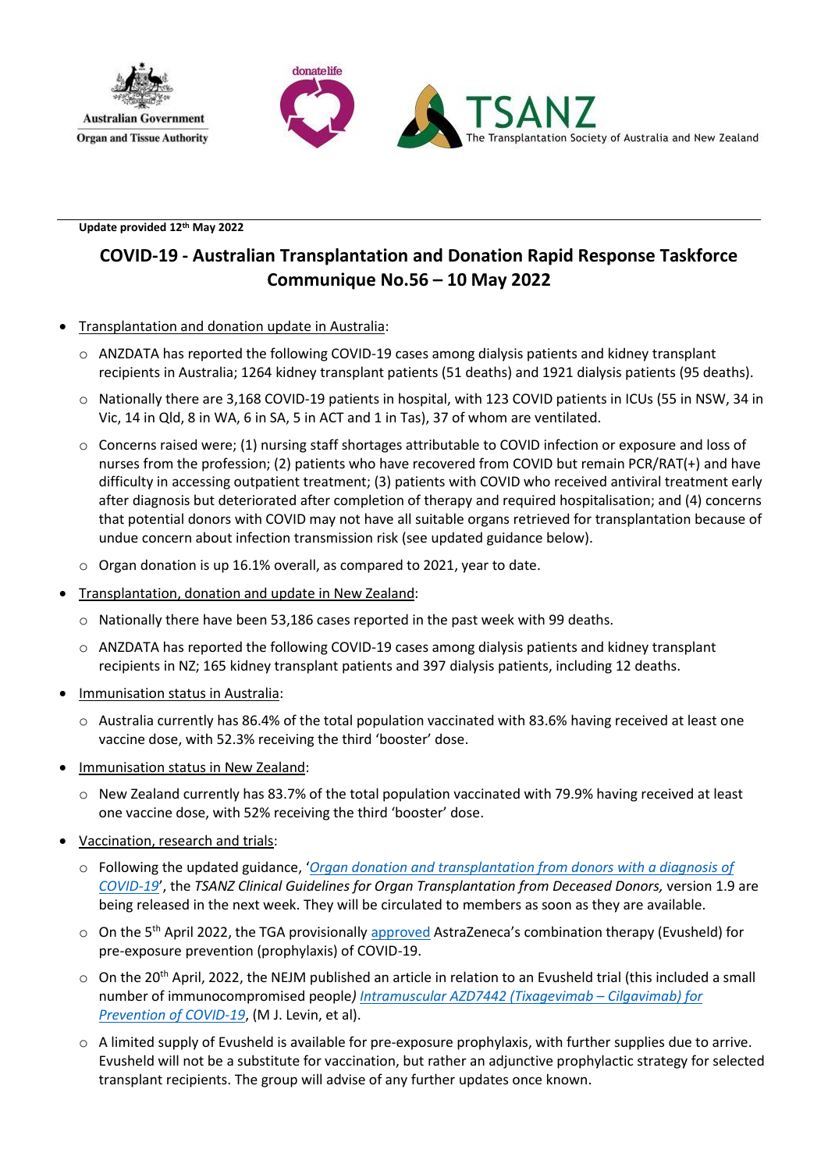



**Update provided 12th May 2022**

# **COVID-19 - Australian Transplantation and Donation Rapid Response Taskforce Communique No.56 – 10 May 2022**

### • Transplantation and donation update in Australia:

- o ANZDATA has reported the following COVID-19 cases among dialysis patients and kidney transplant recipients in Australia; 1264 kidney transplant patients (51 deaths) and 1921 dialysis patients (95 deaths).
- o Nationally there are 3,168 COVID-19 patients in hospital, with 123 COVID patients in ICUs (55 in NSW, 34 in Vic, 14 in Qld, 8 in WA, 6 in SA, 5 in ACT and 1 in Tas), 37 of whom are ventilated.
- o Concerns raised were; (1) nursing staff shortages attributable to COVID infection or exposure and loss of nurses from the profession; (2) patients who have recovered from COVID but remain PCR/RAT(+) and have difficulty in accessing outpatient treatment; (3) patients with COVID who received antiviral treatment early after diagnosis but deteriorated after completion of therapy and required hospitalisation; and (4) concerns that potential donors with COVID may not have all suitable organs retrieved for transplantation because of undue concern about infection transmission risk (see updated guidance below).
- o Organ donation is up 16.1% overall, as compared to 2021, year to date.
- Transplantation, donation and update in New Zealand:
	- $\circ$  Nationally there have been 53.186 cases reported in the past week with 99 deaths.
	- $\circ$  ANZDATA has reported the following COVID-19 cases among dialysis patients and kidney transplant recipients in NZ; 165 kidney transplant patients and 397 dialysis patients, including 12 deaths.
- Immunisation status in Australia:
	- o Australia currently has 86.4% of the total population vaccinated with 83.6% having received at least one vaccine dose, with 52.3% receiving the third 'booster' dose.
- **Immunisation status in New Zealand:** 
	- o New Zealand currently has 83.7% of the total population vaccinated with 79.9% having received at least one vaccine dose, with 52% receiving the third 'booster' dose.
- Vaccination, research and trials:
	- o Following the updated guidance, '*[Organ donation and transplantation from donors with a diagnosis of](https://tsanz.com.au/storage/COVID_Communiques/Use-of-organs-donors-SARS-CoV-2---12042022_final_updated-03052022.pdf)  [COVID-19](https://tsanz.com.au/storage/COVID_Communiques/Use-of-organs-donors-SARS-CoV-2---12042022_final_updated-03052022.pdf)*', the *TSANZ Clinical Guidelines for Organ Transplantation from Deceased Donors,* version 1.9 are being released in the next week. They will be circulated to members as soon as they are available.
	- o On the 5<sup>th</sup> April 2022, the TGA provisionall[y approved](https://www.tga.gov.au/tga-provisionally-approves-astrazenecas-combination-therapy-tixagevimab-and-cilgavimab-evusheld-pre-exposure-prevention-prophylaxis-covid-19) AstraZeneca's combination therapy (Evusheld) for pre-exposure prevention (prophylaxis) of COVID-19.
	- $\circ$  On the 20<sup>th</sup> April, 2022, the NEJM published an article in relation to an Evusheld trial (this included a small number of immunocompromised people*[\) Intramuscular AZD7442 \(Tixagevimab](https://www.nejm.org/doi/full/10.1056/NEJMoa2116620) – Cilgavimab) for [Prevention of COVID-19](https://www.nejm.org/doi/full/10.1056/NEJMoa2116620)*, (M J. Levin, et al).
	- o A limited supply of Evusheld is available for pre-exposure prophylaxis, with further supplies due to arrive. Evusheld will not be a substitute for vaccination, but rather an adjunctive prophylactic strategy for selected transplant recipients. The group will advise of any further updates once known.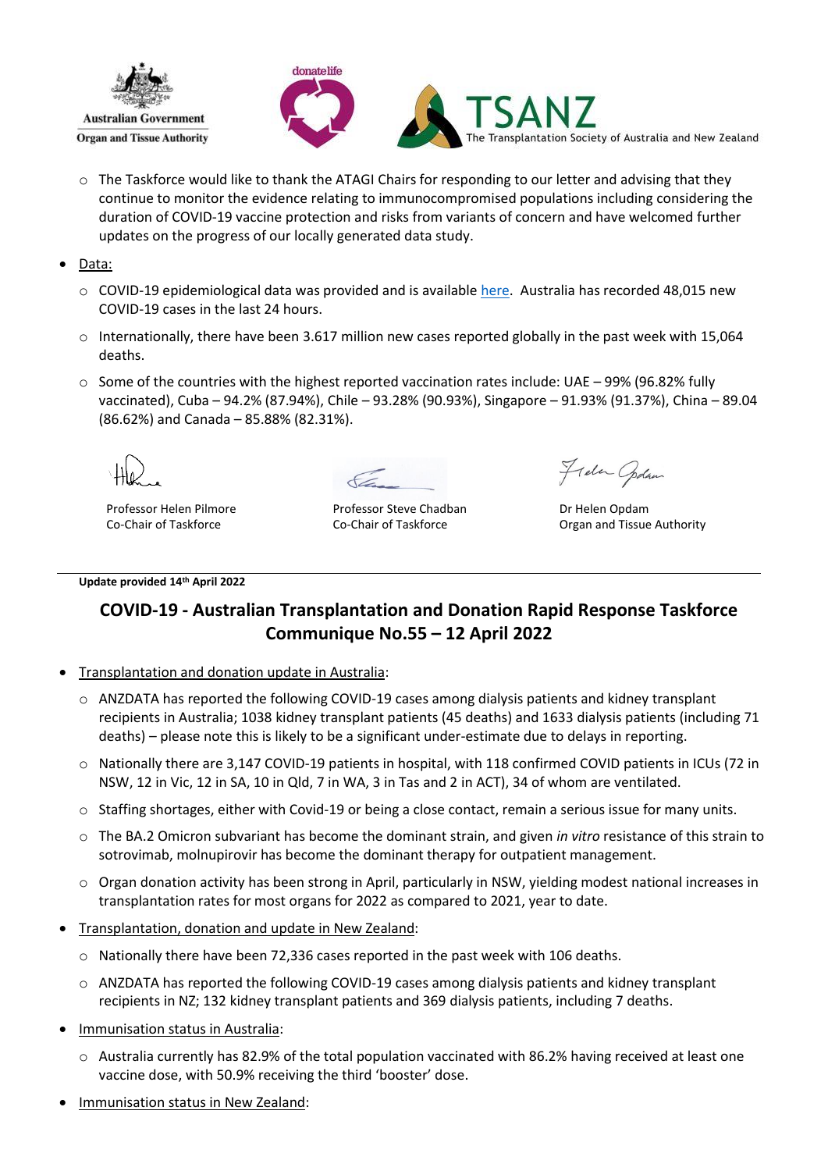



- $\circ$  The Taskforce would like to thank the ATAGI Chairs for responding to our letter and advising that they continue to monitor the evidence relating to immunocompromised populations including considering the duration of COVID-19 vaccine protection and risks from variants of concern and have welcomed further updates on the progress of our locally generated data study.
- Data:
	- o COVID-19 epidemiological data was provided and is availabl[e here.](https://mcusercontent.com/966723059b1a8df2002ab24ee/files/df1d9f9a-22b4-aa7b-d396-840177295ac0/Task_Force_120422.pdf) Australia has recorded 48,015 new COVID-19 cases in the last 24 hours.
	- $\circ$  Internationally, there have been 3.617 million new cases reported globally in the past week with 15,064 deaths.
	- $\circ$  Some of the countries with the highest reported vaccination rates include: UAE 99% (96.82% fully vaccinated), Cuba – 94.2% (87.94%), Chile – 93.28% (90.93%), Singapore – 91.93% (91.37%), China – 89.04 (86.62%) and Canada – 85.88% (82.31%).

Professor Helen Pilmore Co-Chair of Taskforce

Professor Steve Chadban Co-Chair of Taskforce

Frela Codan

Dr Helen Opdam Organ and Tissue Authority

#### **Update provided 14th April 2022**

## **COVID-19 - Australian Transplantation and Donation Rapid Response Taskforce Communique No.55 – 12 April 2022**

- Transplantation and donation update in Australia:
	- o ANZDATA has reported the following COVID-19 cases among dialysis patients and kidney transplant recipients in Australia; 1038 kidney transplant patients (45 deaths) and 1633 dialysis patients (including 71 deaths) – please note this is likely to be a significant under-estimate due to delays in reporting.
	- o Nationally there are 3,147 COVID-19 patients in hospital, with 118 confirmed COVID patients in ICUs (72 in NSW, 12 in Vic, 12 in SA, 10 in Qld, 7 in WA, 3 in Tas and 2 in ACT), 34 of whom are ventilated.
	- o Staffing shortages, either with Covid-19 or being a close contact, remain a serious issue for many units.
	- o The BA.2 Omicron subvariant has become the dominant strain, and given *in vitro* resistance of this strain to sotrovimab, molnupirovir has become the dominant therapy for outpatient management.
	- o Organ donation activity has been strong in April, particularly in NSW, yielding modest national increases in transplantation rates for most organs for 2022 as compared to 2021, year to date.
- Transplantation, donation and update in New Zealand:
	- $\circ$  Nationally there have been 72,336 cases reported in the past week with 106 deaths.
	- $\circ$  ANZDATA has reported the following COVID-19 cases among dialysis patients and kidney transplant recipients in NZ; 132 kidney transplant patients and 369 dialysis patients, including 7 deaths.
- Immunisation status in Australia:
	- $\circ$  Australia currently has 82.9% of the total population vaccinated with 86.2% having received at least one vaccine dose, with 50.9% receiving the third 'booster' dose.
- Immunisation status in New Zealand: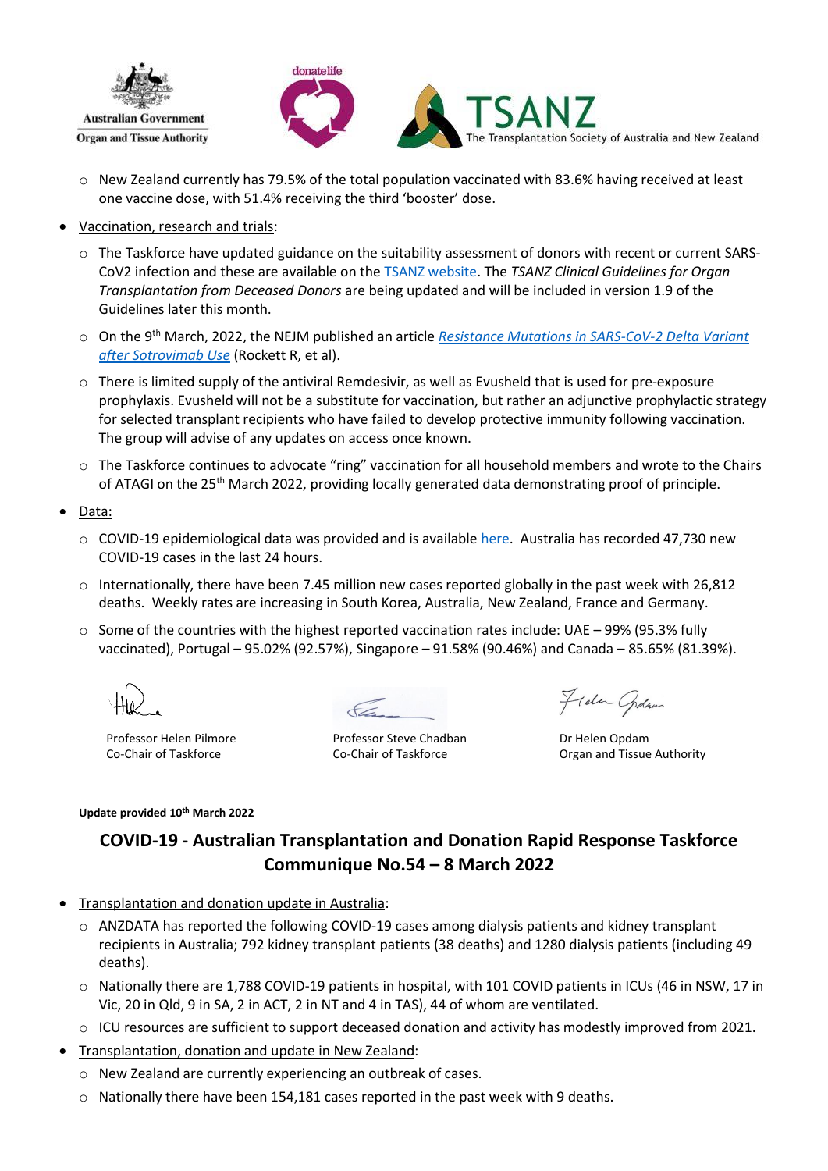

- $\circ$  New Zealand currently has 79.5% of the total population vaccinated with 83.6% having received at least one vaccine dose, with 51.4% receiving the third 'booster' dose.
- Vaccination, research and trials:
	- o The Taskforce have updated guidance on the suitability assessment of donors with recent or current SARS-CoV2 infection and these are available on the [TSANZ website.](https://tsanz.com.au/storage/COVID_Communiques/Use-of-organs-donors-SARS-CoV-2---12042022_final.pdf) The *TSANZ Clinical Guidelines for Organ Transplantation from Deceased Donors* are being updated and will be included in version 1.9 of the Guidelines later this month.
	- o On the 9th March, 2022, the NEJM published an article *[Resistance Mutations in SARS-CoV-2 Delta Variant](https://www.nejm.org/doi/full/10.1056/NEJMc2120219)  [after Sotrovimab Use](https://www.nejm.org/doi/full/10.1056/NEJMc2120219)* (Rockett R, et al).
	- $\circ$  There is limited supply of the antiviral Remdesivir, as well as Evusheld that is used for pre-exposure prophylaxis. Evusheld will not be a substitute for vaccination, but rather an adjunctive prophylactic strategy for selected transplant recipients who have failed to develop protective immunity following vaccination. The group will advise of any updates on access once known.
	- $\circ$  The Taskforce continues to advocate "ring" vaccination for all household members and wrote to the Chairs of ATAGI on the 25<sup>th</sup> March 2022, providing locally generated data demonstrating proof of principle.
- Data:
	- $\circ$  COVID-19 epidemiological data was provided and is availabl[e here.](https://mcusercontent.com/966723059b1a8df2002ab24ee/files/df1d9f9a-22b4-aa7b-d396-840177295ac0/Task_Force_120422.pdf) Australia has recorded 47,730 new COVID-19 cases in the last 24 hours.
	- o Internationally, there have been 7.45 million new cases reported globally in the past week with 26,812 deaths. Weekly rates are increasing in South Korea, Australia, New Zealand, France and Germany.
	- $\circ$  Some of the countries with the highest reported vaccination rates include: UAE 99% (95.3% fully vaccinated), Portugal – 95.02% (92.57%), Singapore – 91.58% (90.46%) and Canada – 85.65% (81.39%).

Professor Helen Pilmore Co-Chair of Taskforce

#### **Update provided 10th March 2022**

Professor Steve Chadban Co-Chair of Taskforce

Frela Opdan

Dr Helen Opdam Organ and Tissue Authority

# **COVID-19 - Australian Transplantation and Donation Rapid Response Taskforce Communique No.54 – 8 March 2022**

- Transplantation and donation update in Australia:
	- $\circ$  ANZDATA has reported the following COVID-19 cases among dialysis patients and kidney transplant recipients in Australia; 792 kidney transplant patients (38 deaths) and 1280 dialysis patients (including 49 deaths).
	- o Nationally there are 1,788 COVID-19 patients in hospital, with 101 COVID patients in ICUs (46 in NSW, 17 in Vic, 20 in Qld, 9 in SA, 2 in ACT, 2 in NT and 4 in TAS), 44 of whom are ventilated.
	- o ICU resources are sufficient to support deceased donation and activity has modestly improved from 2021.
- Transplantation, donation and update in New Zealand:
	- o New Zealand are currently experiencing an outbreak of cases.
	- $\circ$  Nationally there have been 154,181 cases reported in the past week with 9 deaths.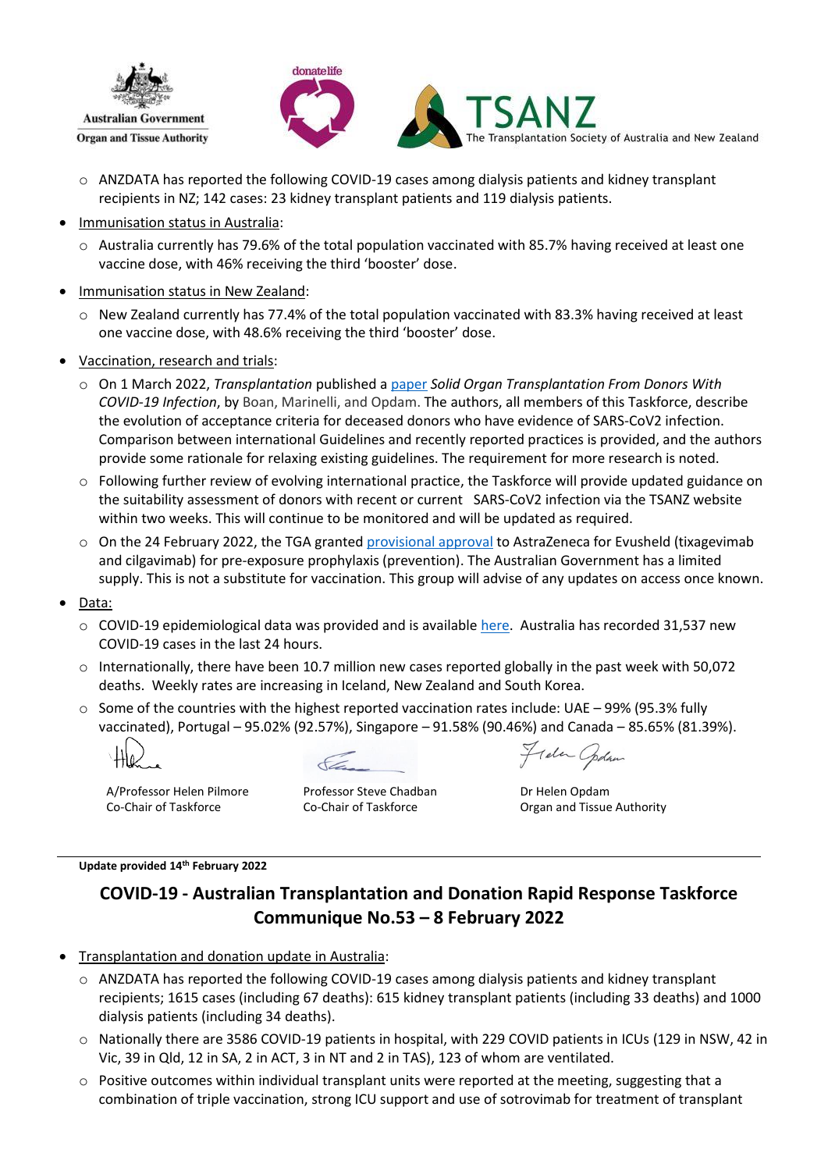



- o ANZDATA has reported the following COVID-19 cases among dialysis patients and kidney transplant recipients in NZ; 142 cases: 23 kidney transplant patients and 119 dialysis patients.
- Immunisation status in Australia:
	- o Australia currently has 79.6% of the total population vaccinated with 85.7% having received at least one vaccine dose, with 46% receiving the third 'booster' dose.
- Immunisation status in New Zealand:
	- o New Zealand currently has 77.4% of the total population vaccinated with 83.3% having received at least one vaccine dose, with 48.6% receiving the third 'booster' dose.
- Vaccination, research and trials:
	- o On 1 March 2022, *Transplantation* published a [paper](https://journals.lww.com/transplantjournal/Citation/9000/Solid_Organ_Transplantation_From_Donors_With.95069.aspx) *Solid Organ Transplantation From Donors With COVID-19 Infection*, by Boan, Marinelli, and Opdam. The authors, all members of this Taskforce, describe the evolution of acceptance criteria for deceased donors who have evidence of SARS-CoV2 infection. Comparison between international Guidelines and recently reported practices is provided, and the authors provide some rationale for relaxing existing guidelines. The requirement for more research is noted.
	- o Following further review of evolving international practice, the Taskforce will provide updated guidance on the suitability assessment of donors with recent or current SARS-CoV2 infection via the TSAN[Z website](https://tsanz.com.au/information/covid-19.htm) within two weeks. This will continue to be monitored and will be updated as required.
	- $\circ$  On the 24 February 2022, the TGA grante[d provisional approval](https://www.tga.gov.au/media-release/tga-provisionally-approves-astrazenecas-combination-therapy-tixagevimab-and-cilgavimab-evusheld-pre-exposure-prevention-prophylaxis-covid-19) to AstraZeneca for Evusheld (tixagevimab and cilgavimab) for pre-exposure prophylaxis (prevention). The Australian Government has a limited supply. This is not a substitute for vaccination. This group will advise of any updates on access once known.
- Data:
	- $\circ$  COVID-19 epidemiological data was provided and is availabl[e here.](https://mcusercontent.com/966723059b1a8df2002ab24ee/files/681c6886-8875-b97b-dc74-3526c834af59/Task_Force_080322.pdf) Australia has recorded 31,537 new COVID-19 cases in the last 24 hours.
	- $\circ$  Internationally, there have been 10.7 million new cases reported globally in the past week with 50,072 deaths. Weekly rates are increasing in Iceland, New Zealand and South Korea.
	- $\circ$  Some of the countries with the highest reported vaccination rates include: UAE 99% (95.3% fully vaccinated), Portugal – 95.02% (92.57%), Singapore – 91.58% (90.46%) and Canada – 85.65% (81.39%).

A/Professor Helen Pilmore Co-Chair of Taskforce

Professor Steve Chadban Co-Chair of Taskforce

Frela Opdan

Dr Helen Opdam Organ and Tissue Authority

#### **Update provided 14th February 2022**

# **COVID-19 - Australian Transplantation and Donation Rapid Response Taskforce Communique No.53 – 8 February 2022**

- Transplantation and donation update in Australia:
	- o ANZDATA has reported the following COVID-19 cases among dialysis patients and kidney transplant recipients; 1615 cases (including 67 deaths): 615 kidney transplant patients (including 33 deaths) and 1000 dialysis patients (including 34 deaths).
	- o Nationally there are 3586 COVID-19 patients in hospital, with 229 COVID patients in ICUs (129 in NSW, 42 in Vic, 39 in Qld, 12 in SA, 2 in ACT, 3 in NT and 2 in TAS), 123 of whom are ventilated.
	- $\circ$  Positive outcomes within individual transplant units were reported at the meeting, suggesting that a combination of triple vaccination, strong ICU support and use of sotrovimab for treatment of transplant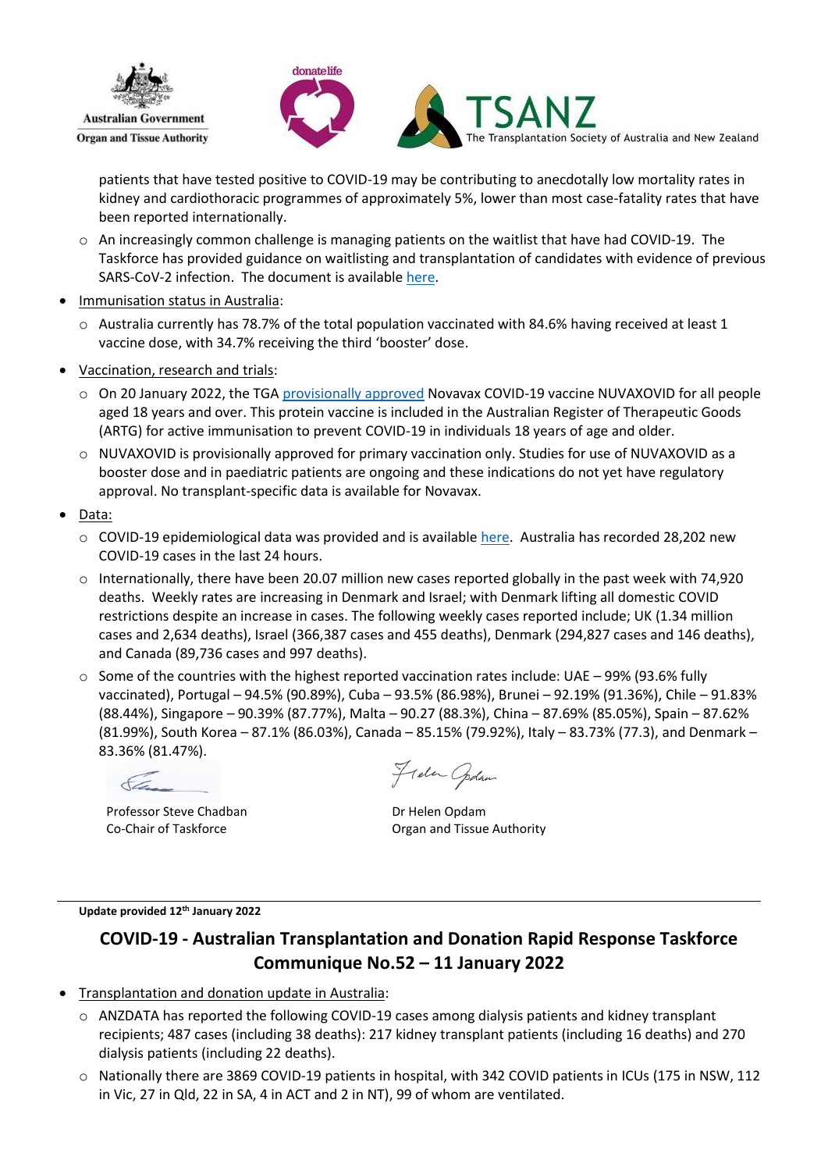



patients that have tested positive to COVID-19 may be contributing to anecdotally low mortality rates in kidney and cardiothoracic programmes of approximately 5%, lower than most case-fatality rates that have been reported internationally.

- o An increasingly common challenge is managing patients on the waitlist that have had COVID-19. The Taskforce has provided guidance on waitlisting and transplantation of candidates with evidence of previous SARS-CoV-2 infection. The document is available [here.](https://mcusercontent.com/966723059b1a8df2002ab24ee/files/ff40ee3f-d1d7-ac27-8bf1-ae02248833fe/Pre_transplant_COVID_assessment_V4b_110222_Final.pdf)
- Immunisation status in Australia:
	- $\circ$  Australia currently has 78.7% of the total population vaccinated with 84.6% having received at least 1 vaccine dose, with 34.7% receiving the third 'booster' dose.
- Vaccination, research and trials:
	- o On 20 January 2022, the TGA [provisionally approved](https://www.tga.gov.au/media-release/tga-provisionally-approves-novavax-biocelect-pty-ltds-covid-19-vaccine-nuvaxovid) Novavax COVID-19 vaccine NUVAXOVID for all people aged 18 years and over. This protein vaccine is included in the Australian Register of Therapeutic Goods (ARTG) for active immunisation to prevent COVID-19 in individuals 18 years of age and older.
	- o NUVAXOVID is provisionally approved for primary vaccination only. Studies for use of NUVAXOVID as a booster dose and in paediatric patients are ongoing and these indications do not yet have regulatory approval. No transplant-specific data is available for Novavax.
- Data:
	- $\circ$  COVID-19 epidemiological data was provided and is availabl[e here.](https://mcusercontent.com/966723059b1a8df2002ab24ee/files/6856c68e-6a3b-57fd-a9d8-95d198d9afc4/Task_Force_080222.pdf) Australia has recorded 28,202 new COVID-19 cases in the last 24 hours.
	- $\circ$  Internationally, there have been 20.07 million new cases reported globally in the past week with 74,920 deaths. Weekly rates are increasing in Denmark and Israel; with Denmark lifting all domestic COVID restrictions despite an increase in cases. The following weekly cases reported include; UK (1.34 million cases and 2,634 deaths), Israel (366,387 cases and 455 deaths), Denmark (294,827 cases and 146 deaths), and Canada (89,736 cases and 997 deaths).
	- $\circ$  Some of the countries with the highest reported vaccination rates include: UAE 99% (93.6% fully vaccinated), Portugal – 94.5% (90.89%), Cuba – 93.5% (86.98%), Brunei – 92.19% (91.36%), Chile – 91.83% (88.44%), Singapore – 90.39% (87.77%), Malta – 90.27 (88.3%), China – 87.69% (85.05%), Spain – 87.62% (81.99%), South Korea – 87.1% (86.03%), Canada – 85.15% (79.92%), Italy – 83.73% (77.3), and Denmark – 83.36% (81.47%).

Professor Steve Chadban Co-Chair of Taskforce

Frela Opdan

Dr Helen Opdam Organ and Tissue Authority

**Update provided 12th January 2022**

## **COVID-19 - Australian Transplantation and Donation Rapid Response Taskforce Communique No.52 – 11 January 2022**

- Transplantation and donation update in Australia:
	- o ANZDATA has reported the following COVID-19 cases among dialysis patients and kidney transplant recipients; 487 cases (including 38 deaths): 217 kidney transplant patients (including 16 deaths) and 270 dialysis patients (including 22 deaths).
	- o Nationally there are 3869 COVID-19 patients in hospital, with 342 COVID patients in ICUs (175 in NSW, 112 in Vic, 27 in Qld, 22 in SA, 4 in ACT and 2 in NT), 99 of whom are ventilated.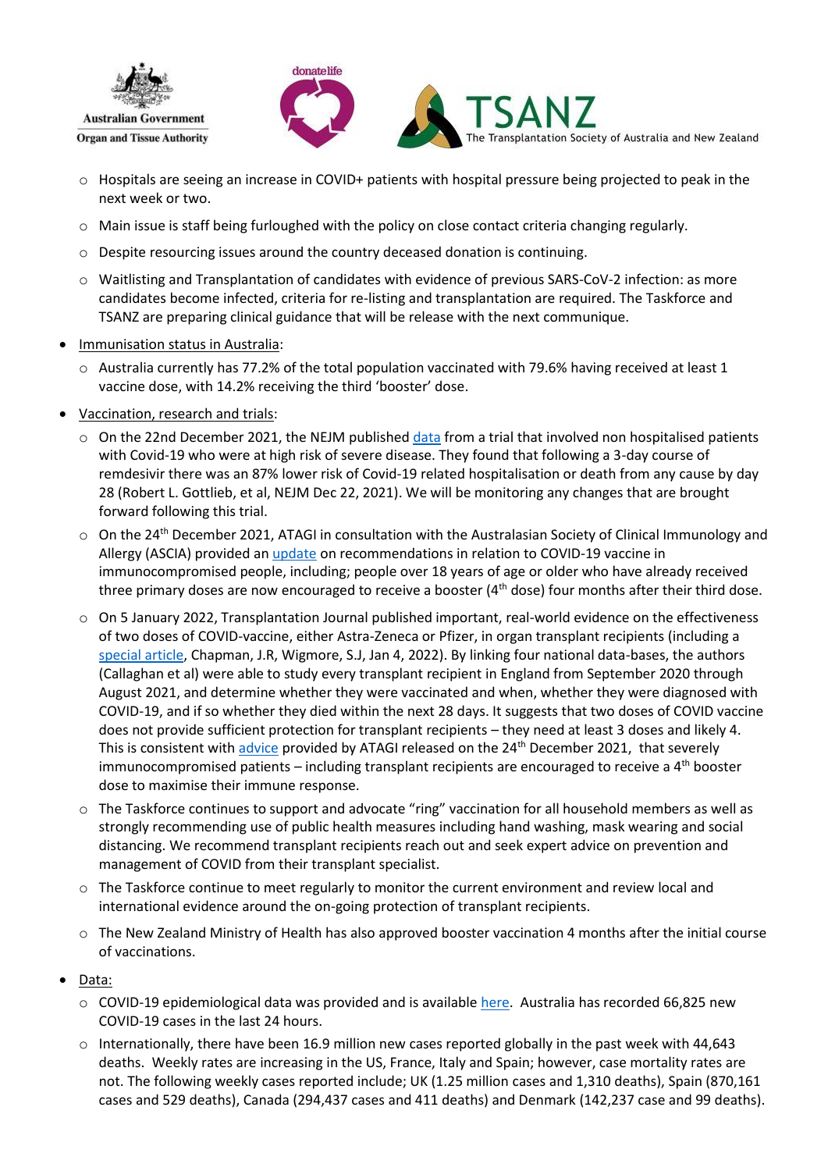



- o Hospitals are seeing an increase in COVID+ patients with hospital pressure being projected to peak in the next week or two.
- $\circ$  Main issue is staff being furloughed with the policy on close contact criteria changing regularly.
- o Despite resourcing issues around the country deceased donation is continuing.
- o Waitlisting and Transplantation of candidates with evidence of previous SARS-CoV-2 infection: as more candidates become infected, criteria for re-listing and transplantation are required. The Taskforce and TSANZ are preparing clinical guidance that will be release with the next communique.
- Immunisation status in Australia:
	- $\circ$  Australia currently has 77.2% of the total population vaccinated with 79.6% having received at least 1 vaccine dose, with 14.2% receiving the third 'booster' dose.
- Vaccination, research and trials:
	- $\circ$  On the 22nd December 2021, the NEJM published [data](https://www.nejm.org/doi/full/10.1056/NEJMoa2116846) from a trial that involved non hospitalised patients with Covid-19 who were at high risk of severe disease. They found that following a 3-day course of remdesivir there was an 87% lower risk of Covid-19 related hospitalisation or death from any cause by day 28 (Robert L. Gottlieb, et al, NEJM Dec 22, 2021). We will be monitoring any changes that are brought forward following this trial.
	- o On the 24<sup>th</sup> December 2021, ATAGI in consultation with the Australasian Society of Clinical Immunology and Allergy (ASCIA) provided an [update](https://www.health.gov.au/sites/default/files/documents/2021/12/atagi-recommendations-on-the-use-of-a-third-primary-dose-of-covid-19-vaccine-in-individuals-who-are-severely-immunocompromised.pdf) on recommendations in relation to COVID-19 vaccine in immunocompromised people, including; people over 18 years of age or older who have already received three primary doses are now encouraged to receive a booster  $(4<sup>th</sup>$  dose) four months after their third dose.
	- $\circ$  On 5 January 2022, Transplantation Journal published important, real-world evidence on the effectiveness of two doses of COVID-vaccine, either Astra-Zeneca or Pfizer, in organ transplant recipients [\(including a](https://journals.lww.com/transplantjournal/Citation/9000/Simple_Vaccination_Is_not_Enough_for_the.95098.aspx) [special article,](https://journals.lww.com/transplantjournal/Citation/9000/Simple_Vaccination_Is_not_Enough_for_the.95098.aspx) Chapman, J.R, Wigmore, S.J, Jan 4, 2022). By linking four national data-bases, the authors (Callaghan et al) were able to study every transplant recipient in England from September 2020 through August 2021, and determine whether they were vaccinated and when, whether they were diagnosed with COVID-19, and if so whether they died within the next 28 days. It suggests that two doses of COVID vaccine does not provide sufficient protection for transplant recipients – they need at least 3 doses and likely 4. This is consistent with advice [provided by ATAGI](https://www.health.gov.au/sites/default/files/documents/2022/01/atagi-recommendations-on-the-use-of-a-third-primary-dose-of-covid-19-vaccine-in-individuals-who-are-severely-immunocompromised_0.pdf) released on the 24<sup>th</sup> December 2021, that severely immunocompromised patients  $-$  including transplant recipients are encouraged to receive a  $4<sup>th</sup>$  booster dose to maximise their immune response.
	- o The Taskforce continues to support and advocate "ring" vaccination for all household members as well as strongly recommending use of public health measures including hand washing, mask wearing and social distancing. We recommend transplant recipients reach out and seek expert advice on prevention and management of COVID from their transplant specialist.
	- $\circ$  The Taskforce continue to meet regularly to monitor the current environment and review local and international evidence around the on-going protection of transplant recipients.
	- o The New Zealand Ministry of Health has also approved booster vaccination 4 months after the initial course of vaccinations.
- Data:
	- $\circ$  COVID-19 epidemiological data was provided and is availabl[e here.](https://mcusercontent.com/966723059b1a8df2002ab24ee/files/5b6dd77e-4744-6c90-ec3d-acb9f032c197/COVID_dashboard_110122.pdf) Australia has recorded 66,825 new COVID-19 cases in the last 24 hours.
	- $\circ$  Internationally, there have been 16.9 million new cases reported globally in the past week with 44,643 deaths. Weekly rates are increasing in the US, France, Italy and Spain; however, case mortality rates are not. The following weekly cases reported include; UK (1.25 million cases and 1,310 deaths), Spain (870,161 cases and 529 deaths), Canada (294,437 cases and 411 deaths) and Denmark (142,237 case and 99 deaths).